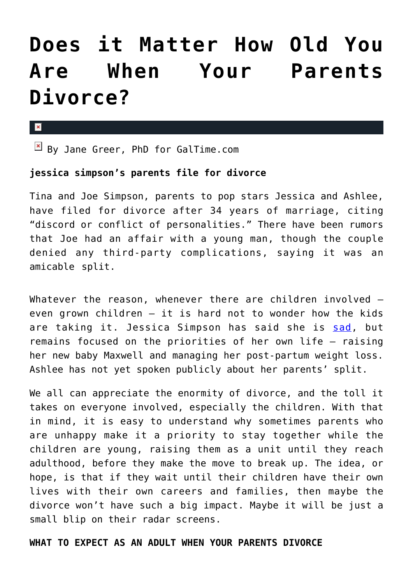# **[Does it Matter How Old You](https://cupidspulse.com/41459/does-it-matter-how-old-you-when-parents-divorce/) [Are When Your Parents](https://cupidspulse.com/41459/does-it-matter-how-old-you-when-parents-divorce/) [Divorce?](https://cupidspulse.com/41459/does-it-matter-how-old-you-when-parents-divorce/)**

#### $\mathbf{x}$

 $\boxed{\times}$  By Jane Greer, PhD for GalTime.com

## **jessica simpson's parents file for divorce**

Tina and Joe Simpson, parents to pop stars Jessica and Ashlee, have filed for divorce after 34 years of marriage, citing "discord or conflict of personalities." There have been rumors that Joe had an affair with a young man, though the couple denied any third-party complications, saying it was an amicable split.

Whatever the reason, whenever there are children involved even grown children — it is hard not to wonder how the kids are taking it. Jessica Simpson has said she is [sad](http://www.nydailynews.com/entertainment/gossip/jessica-simpson-parents-split-stays-focused-new-fitness-plan-article-1.1194185), but remains focused on the priorities of her own life — raising her new baby Maxwell and managing her post-partum weight loss. Ashlee has not yet spoken publicly about her parents' split.

We all can appreciate the enormity of divorce, and the toll it takes on everyone involved, especially the children. With that in mind, it is easy to understand why sometimes parents who are unhappy make it a priority to stay together while the children are young, raising them as a unit until they reach adulthood, before they make the move to break up. The idea, or hope, is that if they wait until their children have their own lives with their own careers and families, then maybe the divorce won't have such a big impact. Maybe it will be just a small blip on their radar screens.

## **WHAT TO EXPECT AS AN ADULT WHEN YOUR PARENTS DIVORCE**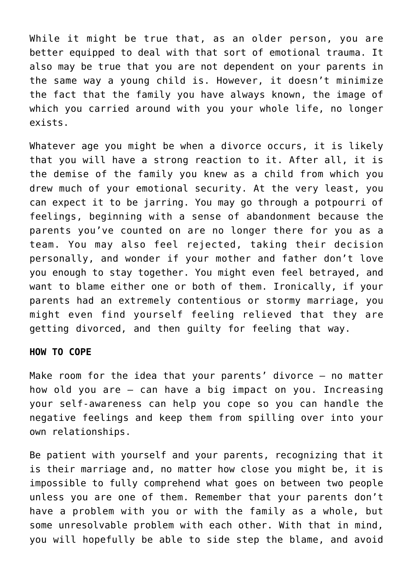While it might be true that, as an older person, you are better equipped to deal with that sort of emotional trauma. It also may be true that you are not dependent on your parents in the same way a young child is. However, it doesn't minimize the fact that the family you have always known, the image of which you carried around with you your whole life, no longer exists.

Whatever age you might be when a divorce occurs, it is likely that you will have a strong reaction to it. After all, it is the demise of the family you knew as a child from which you drew much of your emotional security. At the very least, you can expect it to be jarring. You may go through a potpourri of feelings, beginning with a sense of abandonment because the parents you've counted on are no longer there for you as a team. You may also feel rejected, taking their decision personally, and wonder if your mother and father don't love you enough to stay together. You might even feel betrayed, and want to blame either one or both of them. Ironically, if your parents had an extremely contentious or stormy marriage, you might even find yourself feeling relieved that they are getting divorced, and then guilty for feeling that way.

## **HOW TO COPE**

Make room for the idea that your parents' divorce  $-$  no matter how old you are — can have a big impact on you. Increasing your self-awareness can help you cope so you can handle the negative feelings and keep them from spilling over into your own relationships.

Be patient with yourself and your parents, recognizing that it is their marriage and, no matter how close you might be, it is impossible to fully comprehend what goes on between two people unless you are one of them. Remember that your parents don't have a problem with you or with the family as a whole, but some unresolvable problem with each other. With that in mind, you will hopefully be able to side step the blame, and avoid